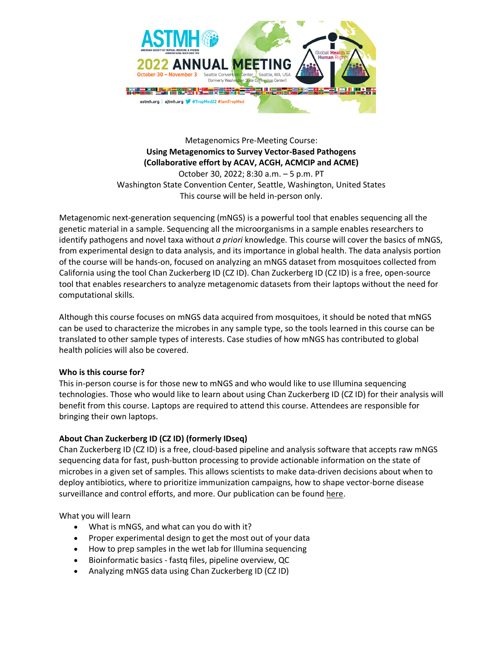

Metagenomics Pre-Meeting Course: **Using Metagenomics to Survey Vector-Based Pathogens (Collaborative effort by ACAV, ACGH, ACMCIP and ACME)** October 30, 2022; 8:30 a.m. – 5 p.m. PT Washington State Convention Center, Seattle, Washington, United States

This course will be held in-person only.

Metagenomic next-generation sequencing (mNGS) is a powerful tool that enables sequencing all the genetic material in a sample. Sequencing all the microorganisms in a sample enables researchers to identify pathogens and novel taxa without *a priori* knowledge. This course will cover the basics of mNGS, from experimental design to data analysis, and its importance in global health. The data analysis portion of the course will be hands-on, focused on analyzing an mNGS dataset from mosquitoes collected from California using the tool Chan Zuckerberg ID (CZ ID). Chan Zuckerberg ID (CZ ID) is a free, open-source tool that enables researchers to analyze metagenomic datasets from their laptops without the need for computational skills.

Although this course focuses on mNGS data acquired from mosquitoes, it should be noted that mNGS can be used to characterize the microbes in any sample type, so the tools learned in this course can be translated to other sample types of interests. Case studies of how mNGS has contributed to global health policies will also be covered.

# **Who is this course for?**

This in-person course is for those new to mNGS and who would like to use Illumina sequencing technologies. Those who would like to learn about using Chan Zuckerberg ID (CZ ID) for their analysis will benefit from this course. Laptops are required to attend this course. Attendees are responsible for bringing their own laptops.

# **About Chan Zuckerberg ID (CZ ID) (formerly IDseq)**

Chan Zuckerberg ID (CZ ID) is a free, cloud-based pipeline and analysis software that accepts raw mNGS sequencing data for fast, push-button processing to provide actionable information on the state of microbes in a given set of samples. This allows scientists to make data-driven decisions about when to deploy antibiotics, where to prioritize immunization campaigns, how to shape vector-borne disease surveillance and control efforts, and more. Our publication can be found here.

What you will learn

- What is mNGS, and what can you do with it?
- Proper experimental design to get the most out of your data
- How to prep samples in the wet lab for Illumina sequencing
- Bioinformatic basics fastq files, pipeline overview, QC
- Analyzing mNGS data using Chan Zuckerberg ID (CZ ID)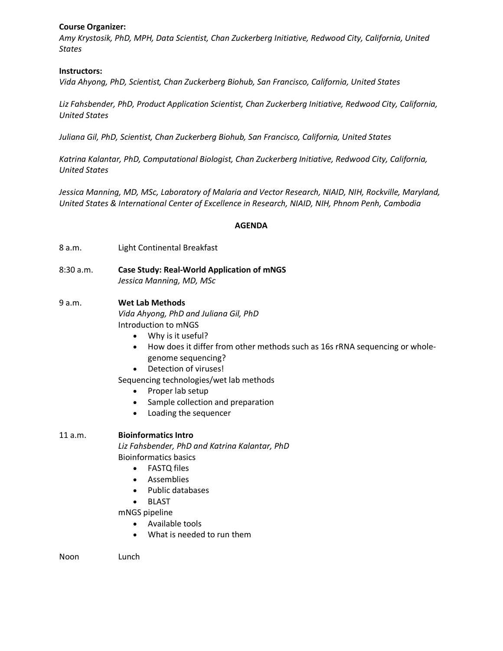### **Course Organizer:**

*Amy Krystosik, PhD, MPH, Data Scientist, Chan Zuckerberg Initiative, Redwood City, California, United States*

### **Instructors:**

*Vida Ahyong, PhD, Scientist, Chan Zuckerberg Biohub, San Francisco, California, United States*

*Liz Fahsbender, PhD, Product Application Scientist, Chan Zuckerberg Initiative, Redwood City, California, United States*

*Juliana Gil, PhD, Scientist, Chan Zuckerberg Biohub, San Francisco, California, United States*

*Katrina Kalantar, PhD, Computational Biologist, Chan Zuckerberg Initiative, Redwood City, California, United States*

*Jessica Manning, MD, MSc, Laboratory of Malaria and Vector Research, NIAID, NIH, Rockville, Maryland, United States & International Center of Excellence in Research, NIAID, NIH, Phnom Penh, Cambodia*

### **AGENDA**

- 8 a.m. Light Continental Breakfast
- 8:30 a.m. **Case Study: Real-World Application of mNGS** *Jessica Manning, MD, MSc*

### 9 a.m. **Wet Lab Methods**

*Vida Ahyong, PhD and Juliana Gil, PhD* Introduction to mNGS

- Why is it useful?
- How does it differ from other methods such as 16s rRNA sequencing or wholegenome sequencing?
- Detection of viruses!

Sequencing technologies/wet lab methods

- Proper lab setup
- Sample collection and preparation
- Loading the sequencer

#### 11 a.m. **Bioinformatics Intro**

*Liz Fahsbender, PhD and Katrina Kalantar, PhD* Bioinformatics basics

- FASTQ files
- Assemblies
- Public databases
- BLAST

mNGS pipeline

- Available tools
- What is needed to run them

Noon Lunch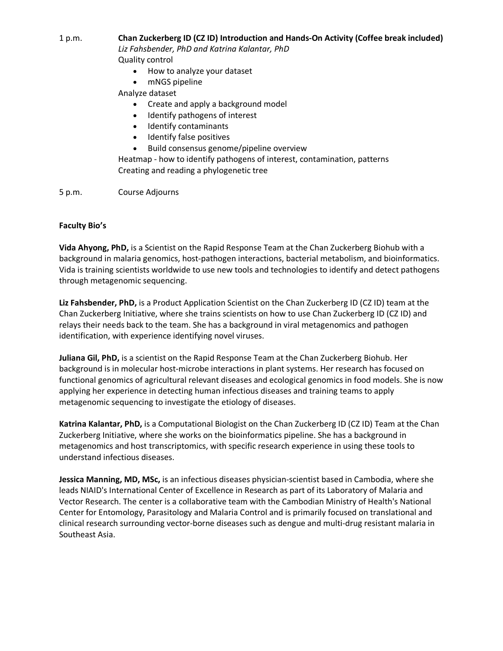# 1 p.m. **Chan Zuckerberg ID (CZ ID) Introduction and Hands-On Activity (Coffee break included)**

*Liz Fahsbender, PhD and Katrina Kalantar, PhD* Quality control

- How to analyze your dataset
- mNGS pipeline

# Analyze dataset

- Create and apply a background model
- Identify pathogens of interest
- Identify contaminants
- Identify false positives
- Build consensus genome/pipeline overview

Heatmap - how to identify pathogens of interest, contamination, patterns Creating and reading a phylogenetic tree

5 p.m. Course Adjourns

# **Faculty Bio's**

**Vida Ahyong, PhD,** is a Scientist on the Rapid Response Team at the Chan Zuckerberg Biohub with a background in malaria genomics, host-pathogen interactions, bacterial metabolism, and bioinformatics. Vida is training scientists worldwide to use new tools and technologies to identify and detect pathogens through metagenomic sequencing.

**Liz Fahsbender, PhD,** is a Product Application Scientist on the Chan Zuckerberg ID (CZ ID) team at the Chan Zuckerberg Initiative, where she trains scientists on how to use Chan Zuckerberg ID (CZ ID) and relays their needs back to the team. She has a background in viral metagenomics and pathogen identification, with experience identifying novel viruses.

**Juliana Gil, PhD,** is a scientist on the Rapid Response Team at the Chan Zuckerberg Biohub. Her background is in molecular host-microbe interactions in plant systems. Her research has focused on functional genomics of agricultural relevant diseases and ecological genomics in food models. She is now applying her experience in detecting human infectious diseases and training teams to apply metagenomic sequencing to investigate the etiology of diseases.

**Katrina Kalantar, PhD,** is a Computational Biologist on the Chan Zuckerberg ID (CZ ID) Team at the Chan Zuckerberg Initiative, where she works on the bioinformatics pipeline. She has a background in metagenomics and host transcriptomics, with specific research experience in using these tools to understand infectious diseases.

**Jessica Manning, MD, MSc,** is an infectious diseases physician-scientist based in Cambodia, where she leads NIAID's International Center of Excellence in Research as part of its Laboratory of Malaria and Vector Research. The center is a collaborative team with the Cambodian Ministry of Health's National Center for Entomology, Parasitology and Malaria Control and is primarily focused on translational and clinical research surrounding vector-borne diseases such as dengue and multi-drug resistant malaria in Southeast Asia.